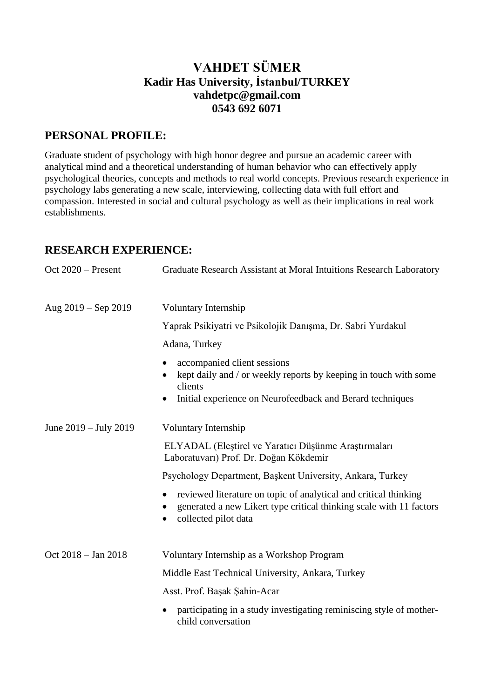# **VAHDET SÜMER Kadir Has University, İstanbul/TURKEY vahdetpc@gmail.com 0543 692 6071**

## **PERSONAL PROFILE:**

Graduate student of psychology with high honor degree and pursue an academic career with analytical mind and a theoretical understanding of human behavior who can effectively apply psychological theories, concepts and methods to real world concepts. Previous research experience in psychology labs generating a new scale, interviewing, collecting data with full effort and compassion. Interested in social and cultural psychology as well as their implications in real work establishments.

## **RESEARCH EXPERIENCE:**

| Oct $2020$ – Present  | Graduate Research Assistant at Moral Intuitions Research Laboratory                                                                                                     |
|-----------------------|-------------------------------------------------------------------------------------------------------------------------------------------------------------------------|
| Aug 2019 - Sep 2019   | Voluntary Internship                                                                                                                                                    |
|                       | Yaprak Psikiyatri ve Psikolojik Danışma, Dr. Sabri Yurdakul                                                                                                             |
|                       | Adana, Turkey                                                                                                                                                           |
|                       | accompanied client sessions<br>kept daily and / or weekly reports by keeping in touch with some<br>clients<br>Initial experience on Neurofeedback and Berard techniques |
| June 2019 – July 2019 | Voluntary Internship                                                                                                                                                    |
|                       | ELYADAL (Eleștirel ve Yaratıcı Düşünme Araştırmaları<br>Laboratuvarı) Prof. Dr. Doğan Kökdemir                                                                          |
|                       | Psychology Department, Başkent University, Ankara, Turkey                                                                                                               |
|                       | reviewed literature on topic of analytical and critical thinking<br>generated a new Likert type critical thinking scale with 11 factors<br>collected pilot data         |
| Oct 2018 - Jan 2018   | Voluntary Internship as a Workshop Program                                                                                                                              |
|                       | Middle East Technical University, Ankara, Turkey                                                                                                                        |
|                       | Asst. Prof. Başak Şahin-Acar                                                                                                                                            |
|                       | participating in a study investigating reminiscing style of mother-<br>child conversation                                                                               |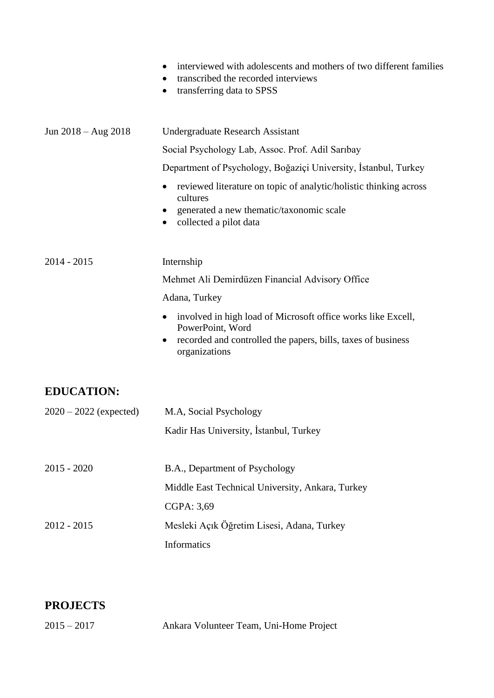|                          | interviewed with adolescents and mothers of two different families<br>٠<br>transcribed the recorded interviews<br>transferring data to SPSS<br>٠                                            |
|--------------------------|---------------------------------------------------------------------------------------------------------------------------------------------------------------------------------------------|
| Jun $2018 - Aug 2018$    | <b>Undergraduate Research Assistant</b>                                                                                                                                                     |
|                          | Social Psychology Lab, Assoc. Prof. Adil Sarıbay                                                                                                                                            |
|                          | Department of Psychology, Boğaziçi University, İstanbul, Turkey                                                                                                                             |
|                          | reviewed literature on topic of analytic/holistic thinking across<br>$\bullet$<br>cultures<br>generated a new thematic/taxonomic scale<br>collected a pilot data                            |
| $2014 - 2015$            | Internship                                                                                                                                                                                  |
|                          | Mehmet Ali Demirdüzen Financial Advisory Office                                                                                                                                             |
|                          | Adana, Turkey                                                                                                                                                                               |
|                          | involved in high load of Microsoft office works like Excell,<br>$\bullet$<br>PowerPoint, Word<br>recorded and controlled the papers, bills, taxes of business<br>$\bullet$<br>organizations |
| <b>EDUCATION:</b>        |                                                                                                                                                                                             |
| $2020 - 2022$ (expected) | M.A, Social Psychology                                                                                                                                                                      |
|                          | Kadir Has University, İstanbul, Turkey                                                                                                                                                      |
| $2015 - 2020$            | B.A., Department of Psychology                                                                                                                                                              |
|                          | Middle East Technical University, Ankara, Turkey                                                                                                                                            |
|                          | CGPA: 3,69                                                                                                                                                                                  |
| $2012 - 2015$            | Mesleki Açık Öğretim Lisesi, Adana, Turkey                                                                                                                                                  |
|                          | Informatics                                                                                                                                                                                 |

# **PROJECTS**

| $2015 - 2017$ | Ankara Volunteer Team, Uni-Home Project |
|---------------|-----------------------------------------|
|---------------|-----------------------------------------|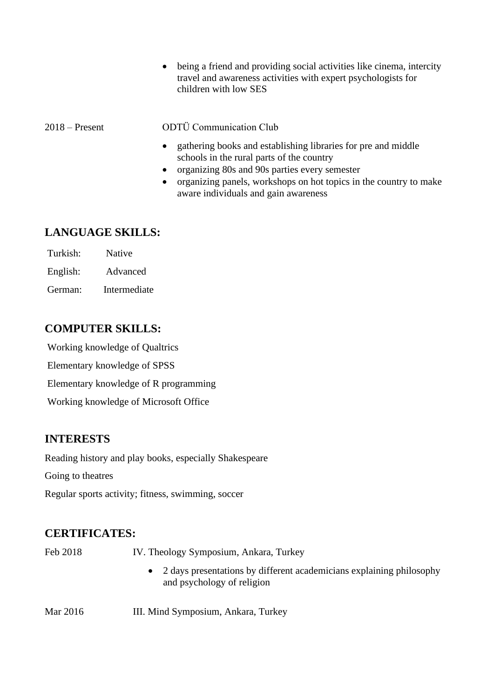• being a friend and providing social activities like cinema, intercity travel and awareness activities with expert psychologists for children with low SES

#### 2018 – Present ODTÜ Communication Club

- gathering books and establishing libraries for pre and middle schools in the rural parts of the country
- organizing 80s and 90s parties every semester
- organizing panels, workshops on hot topics in the country to make aware individuals and gain awareness

#### **LANGUAGE SKILLS:**

Turkish: Native English: Advanced German: Intermediate

#### **COMPUTER SKILLS:**

Working knowledge of Qualtrics Elementary knowledge of SPSS Elementary knowledge of R programming Working knowledge of Microsoft Office

## **INTERESTS**

Reading history and play books, especially Shakespeare

Going to theatres

Regular sports activity; fitness, swimming, soccer

## **CERTIFICATES:**

Feb 2018 IV. Theology Symposium, Ankara, Turkey

- 2 days presentations by different academicians explaining philosophy and psychology of religion
- Mar 2016 **III.** Mind Symposium, Ankara, Turkey